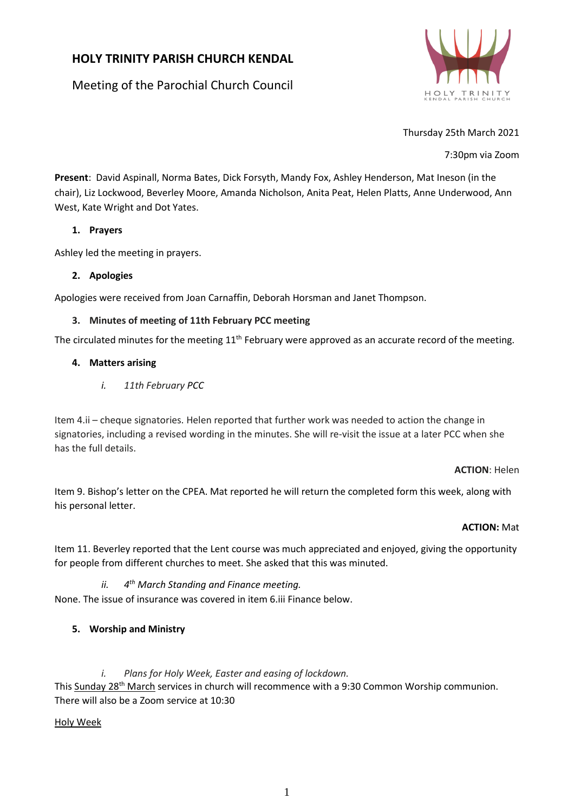# **HOLY TRINITY PARISH CHURCH KENDAL**

Meeting of the Parochial Church Council



Thursday 25th March 2021

7:30pm via Zoom

**Present**: David Aspinall, Norma Bates, Dick Forsyth, Mandy Fox, Ashley Henderson, Mat Ineson (in the chair), Liz Lockwood, Beverley Moore, Amanda Nicholson, Anita Peat, Helen Platts, Anne Underwood, Ann West, Kate Wright and Dot Yates.

# **1. Prayers**

Ashley led the meeting in prayers.

# **2. Apologies**

Apologies were received from Joan Carnaffin, Deborah Horsman and Janet Thompson.

# **3. Minutes of meeting of 11th February PCC meeting**

The circulated minutes for the meeting  $11<sup>th</sup>$  February were approved as an accurate record of the meeting.

# **4. Matters arising**

*i. 11th February PCC*

Item 4.ii – cheque signatories. Helen reported that further work was needed to action the change in signatories, including a revised wording in the minutes. She will re-visit the issue at a later PCC when she has the full details.

#### **ACTION**: Helen

Item 9. Bishop's letter on the CPEA. Mat reported he will return the completed form this week, along with his personal letter.

# **ACTION:** Mat

Item 11. Beverley reported that the Lent course was much appreciated and enjoyed, giving the opportunity for people from different churches to meet. She asked that this was minuted.

#### $ii.$ *th March Standing and Finance meeting.*

None. The issue of insurance was covered in item 6.iii Finance below.

# **5. Worship and Ministry**

*i. Plans for Holy Week, Easter and easing of lockdown.*

This Sunday 28<sup>th</sup> March services in church will recommence with a 9:30 Common Worship communion. There will also be a Zoom service at 10:30

# Holy Week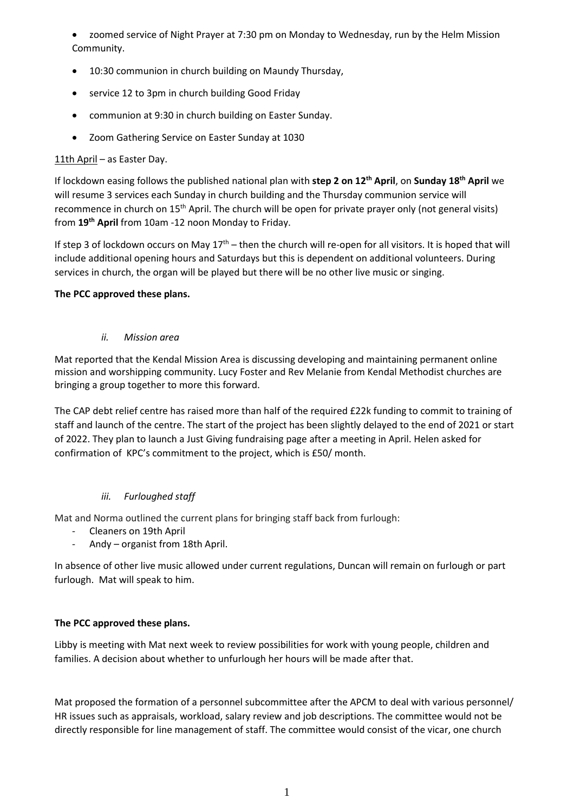• zoomed service of Night Prayer at 7:30 pm on Monday to Wednesday, run by the Helm Mission Community.

- 10:30 communion in church building on Maundy Thursday,
- service 12 to 3pm in church building Good Friday
- communion at 9:30 in church building on Easter Sunday.
- Zoom Gathering Service on Easter Sunday at 1030

# 11th April – as Easter Day.

If lockdown easing follows the published national plan with **step 2 on 12th April**, on **Sunday 18th April** we will resume 3 services each Sunday in church building and the Thursday communion service will recommence in church on 15<sup>th</sup> April. The church will be open for private prayer only (not general visits) from **19th April** from 10am -12 noon Monday to Friday.

If step 3 of lockdown occurs on May  $17<sup>th</sup>$  – then the church will re-open for all visitors. It is hoped that will include additional opening hours and Saturdays but this is dependent on additional volunteers. During services in church, the organ will be played but there will be no other live music or singing.

# **The PCC approved these plans.**

*ii. Mission area*

Mat reported that the Kendal Mission Area is discussing developing and maintaining permanent online mission and worshipping community. Lucy Foster and Rev Melanie from Kendal Methodist churches are bringing a group together to more this forward.

The CAP debt relief centre has raised more than half of the required £22k funding to commit to training of staff and launch of the centre. The start of the project has been slightly delayed to the end of 2021 or start of 2022. They plan to launch a Just Giving fundraising page after a meeting in April. Helen asked for confirmation of KPC's commitment to the project, which is £50/ month.

# *iii. Furloughed staff*

Mat and Norma outlined the current plans for bringing staff back from furlough:

- Cleaners on 19th April
- Andy organist from 18th April.

In absence of other live music allowed under current regulations, Duncan will remain on furlough or part furlough. Mat will speak to him.

# **The PCC approved these plans.**

Libby is meeting with Mat next week to review possibilities for work with young people, children and families. A decision about whether to unfurlough her hours will be made after that.

Mat proposed the formation of a personnel subcommittee after the APCM to deal with various personnel/ HR issues such as appraisals, workload, salary review and job descriptions. The committee would not be directly responsible for line management of staff. The committee would consist of the vicar, one church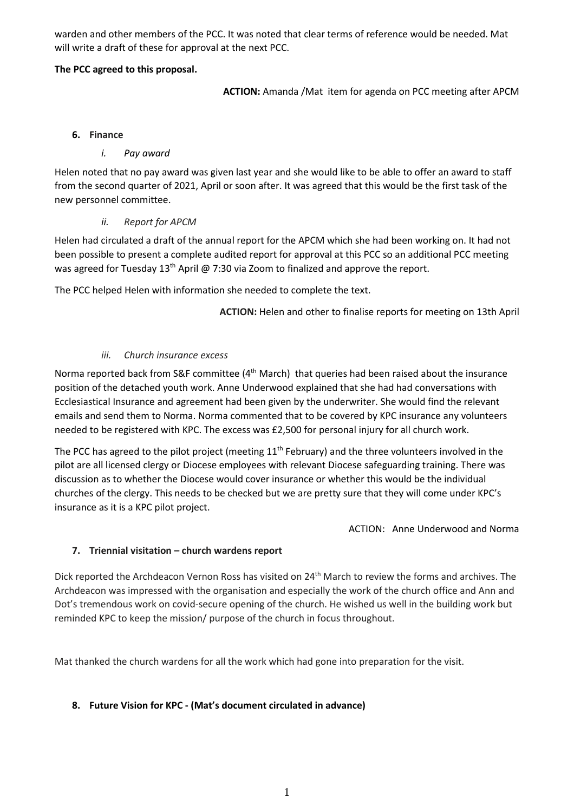warden and other members of the PCC. It was noted that clear terms of reference would be needed. Mat will write a draft of these for approval at the next PCC.

# **The PCC agreed to this proposal.**

**ACTION:** Amanda /Mat item for agenda on PCC meeting after APCM

#### **6. Finance**

# *i. Pay award*

Helen noted that no pay award was given last year and she would like to be able to offer an award to staff from the second quarter of 2021, April or soon after. It was agreed that this would be the first task of the new personnel committee.

### *ii. Report for APCM*

Helen had circulated a draft of the annual report for the APCM which she had been working on. It had not been possible to present a complete audited report for approval at this PCC so an additional PCC meeting was agreed for Tuesday  $13<sup>th</sup>$  April @ 7:30 via Zoom to finalized and approve the report.

The PCC helped Helen with information she needed to complete the text.

**ACTION:** Helen and other to finalise reports for meeting on 13th April

### *iii. Church insurance excess*

Norma reported back from S&F committee (4<sup>th</sup> March) that queries had been raised about the insurance position of the detached youth work. Anne Underwood explained that she had had conversations with Ecclesiastical Insurance and agreement had been given by the underwriter. She would find the relevant emails and send them to Norma. Norma commented that to be covered by KPC insurance any volunteers needed to be registered with KPC. The excess was £2,500 for personal injury for all church work.

The PCC has agreed to the pilot project (meeting 11<sup>th</sup> February) and the three volunteers involved in the pilot are all licensed clergy or Diocese employees with relevant Diocese safeguarding training. There was discussion as to whether the Diocese would cover insurance or whether this would be the individual churches of the clergy. This needs to be checked but we are pretty sure that they will come under KPC's insurance as it is a KPC pilot project.

ACTION: Anne Underwood and Norma

# **7. Triennial visitation – church wardens report**

Dick reported the Archdeacon Vernon Ross has visited on 24<sup>th</sup> March to review the forms and archives. The Archdeacon was impressed with the organisation and especially the work of the church office and Ann and Dot's tremendous work on covid-secure opening of the church. He wished us well in the building work but reminded KPC to keep the mission/ purpose of the church in focus throughout.

Mat thanked the church wardens for all the work which had gone into preparation for the visit.

# **8. Future Vision for KPC - (Mat's document circulated in advance)**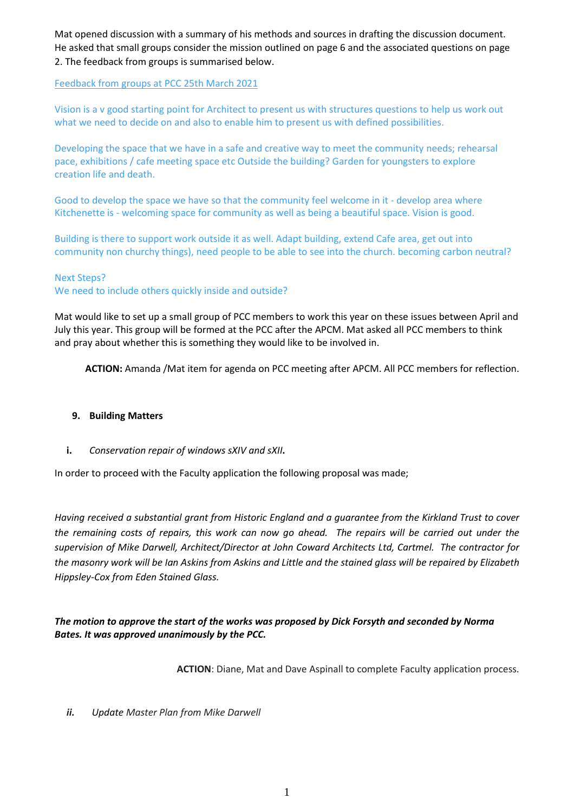Mat opened discussion with a summary of his methods and sources in drafting the discussion document. He asked that small groups consider the mission outlined on page 6 and the associated questions on page 2. The feedback from groups is summarised below.

Feedback from groups at PCC 25th March 2021

Vision is a v good starting point for Architect to present us with structures questions to help us work out what we need to decide on and also to enable him to present us with defined possibilities.

Developing the space that we have in a safe and creative way to meet the community needs; rehearsal pace, exhibitions / cafe meeting space etc Outside the building? Garden for youngsters to explore creation life and death.

Good to develop the space we have so that the community feel welcome in it - develop area where Kitchenette is - welcoming space for community as well as being a beautiful space. Vision is good.

Building is there to support work outside it as well. Adapt building, extend Cafe area, get out into community non churchy things), need people to be able to see into the church. becoming carbon neutral?

### Next Steps?

We need to include others quickly inside and outside?

Mat would like to set up a small group of PCC members to work this year on these issues between April and July this year. This group will be formed at the PCC after the APCM. Mat asked all PCC members to think and pray about whether this is something they would like to be involved in.

**ACTION:** Amanda /Mat item for agenda on PCC meeting after APCM. All PCC members for reflection.

#### **9. Building Matters**

**i.** *Conservation repair of windows sXIV and sXII***.**

In order to proceed with the Faculty application the following proposal was made;

Having received a substantial grant from Historic England and a guarantee from the Kirkland Trust to cover the remaining costs of repairs, this work can now go ahead. The repairs will be carried out under the *supervision of Mike Darwell, Architect/Director at John Coward Architects Ltd, Cartmel. The contractor for* the masonry work will be Ian Askins from Askins and Little and the stained glass will be repaired by Elizabeth *Hippsley-Cox from Eden Stained Glass.*

# *The motion to approve the start of the works was proposed by Dick Forsyth and seconded by Norma Bates. It was approved unanimously by the PCC.*

**ACTION**: Diane, Mat and Dave Aspinall to complete Faculty application process.

*ii. Update Master Plan from Mike Darwell*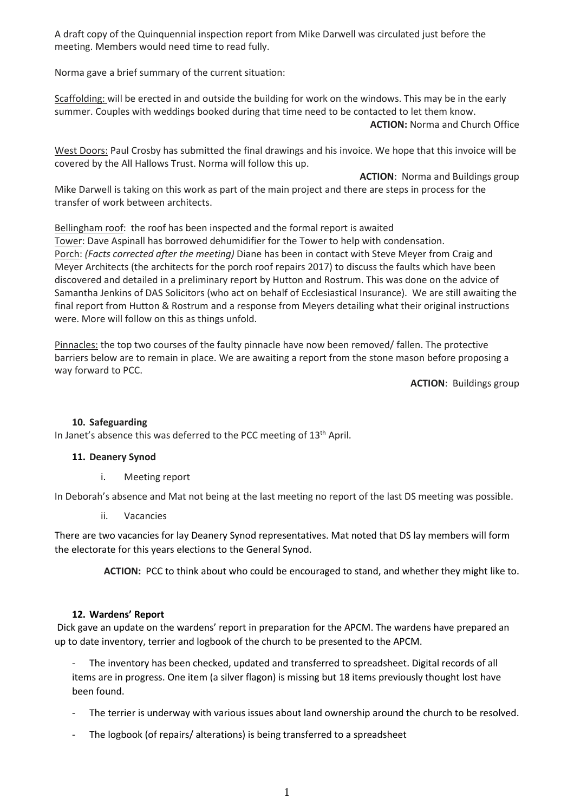A draft copy of the Quinquennial inspection report from Mike Darwell was circulated just before the meeting. Members would need time to read fully.

Norma gave a brief summary of the current situation:

Scaffolding: will be erected in and outside the building for work on the windows. This may be in the early summer. Couples with weddings booked during that time need to be contacted to let them know.

**ACTION:** Norma and Church Office

West Doors: Paul Crosby has submitted the final drawings and his invoice. We hope that this invoice will be covered by the All Hallows Trust. Norma will follow this up.

**ACTION**: Norma and Buildings group Mike Darwell is taking on this work as part of the main project and there are steps in process for the transfer of work between architects.

Bellingham roof: the roof has been inspected and the formal report is awaited Tower: Dave Aspinall has borrowed dehumidifier for the Tower to help with condensation. Porch: *(Facts corrected after the meeting)* Diane has been in contact with Steve Meyer from Craig and Meyer Architects (the architects for the porch roof repairs 2017) to discuss the faults which have been discovered and detailed in a preliminary report by Hutton and Rostrum. This was done on the advice of Samantha Jenkins of DAS Solicitors (who act on behalf of Ecclesiastical Insurance). We are still awaiting the final report from Hutton & Rostrum and a response from Meyers detailing what their original instructions were. More will follow on this as things unfold.

Pinnacles: the top two courses of the faulty pinnacle have now been removed/ fallen. The protective barriers below are to remain in place. We are awaiting a report from the stone mason before proposing a way forward to PCC.

**ACTION**: Buildings group

# **10. Safeguarding**

In Janet's absence this was deferred to the PCC meeting of 13<sup>th</sup> April.

# **11. Deanery Synod**

i. Meeting report

In Deborah's absence and Mat not being at the last meeting no report of the last DS meeting was possible.

ii. Vacancies

There are two vacancies for lay Deanery Synod representatives. Mat noted that DS lay members will form the electorate for this years elections to the General Synod.

**ACTION:** PCC to think about who could be encouraged to stand, and whether they might like to.

#### **12. Wardens' Report**

Dick gave an update on the wardens' report in preparation for the APCM. The wardens have prepared an up to date inventory, terrier and logbook of the church to be presented to the APCM.

The inventory has been checked, updated and transferred to spreadsheet. Digital records of all items are in progress. One item (a silver flagon) is missing but 18 items previously thought lost have been found.

- The terrier is underway with various issues about land ownership around the church to be resolved.
- The logbook (of repairs/ alterations) is being transferred to a spreadsheet